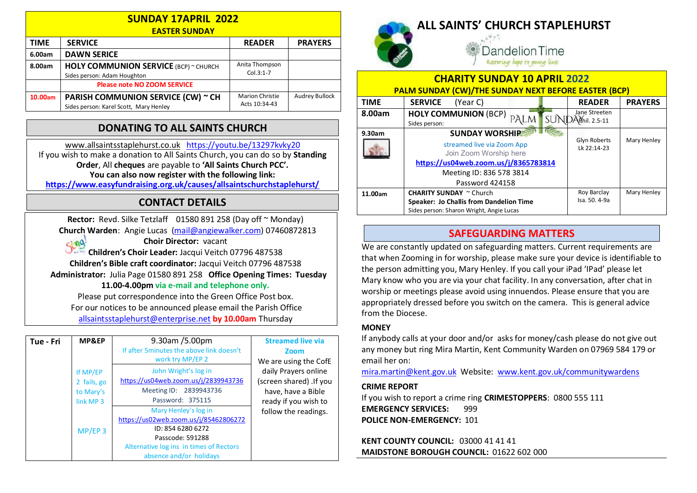| <b>SUNDAY 17APRIL 2022</b><br><b>EASTER SUNDAY</b> |                                                                              |                                         |                       |  |  |
|----------------------------------------------------|------------------------------------------------------------------------------|-----------------------------------------|-----------------------|--|--|
| <b>TIME</b>                                        | <b>SERVICE</b>                                                               | <b>READER</b>                           | <b>PRAYERS</b>        |  |  |
| 6.00am                                             | <b>DAWN SERICE</b>                                                           |                                         |                       |  |  |
| 8.00am                                             | <b>HOLY COMMUNION SERVICE (BCP) ~ CHURCH</b><br>Sides person: Adam Houghton  | Anita Thompson<br>$Col.3:1-7$           |                       |  |  |
|                                                    | <b>Please note NO ZOOM SERVICE</b>                                           |                                         |                       |  |  |
| 10.00am                                            | PARISH COMMUNION SERVICE (CW) ~ CH<br>Sides person: Karel Scott, Mary Henley | <b>Marion Christie</b><br>Acts 10:34-43 | <b>Audrey Bullock</b> |  |  |

## DONATING TO ALL SAINTS CHURCH

www.allsaintsstaplehurst.co.uk https://youtu.be/13297kvky20 If you wish to make a donation to All Saints Church, you can do so by Standing Order, All cheques are payable to 'All Saints Church PCC'. You can also now register with the following link: https://www.easyfundraising.org.uk/causes/allsaintschurchstaplehurst/

## CONTACT DETAILS

Rector: Revd. Silke Tetzlaff 01580 891 258 (Day off ~ Monday) Church Warden: Angie Lucas (mail@angiewalker.com) 07460872813  $sin 9$ Choir Director: vacant Children's Choir Leader: Jacqui Veitch 07796 487538 Children's Bible craft coordinator: Jacqui Veitch 07796 487538 Administrator: Julia Page 01580 891 258 Office Opening Times: Tuesday

11.00-4.00pm via e-mail and telephone only.

Please put correspondence into the Green Office Post box. For our notices to be announced please email the Parish Office allsaintsstaplehurst@enterprise.net by 10.00am Thursday

| Tue - Fri | MP&EP                                                        | 9.30am /5.00pm<br>If after 5minutes the above link doesn't<br>work try MP/EP 2                                                                                               | <b>Streamed live via</b><br><b>Zoom</b><br>We are using the CofE                              |
|-----------|--------------------------------------------------------------|------------------------------------------------------------------------------------------------------------------------------------------------------------------------------|-----------------------------------------------------------------------------------------------|
|           | If MP/EP<br>2 fails, go<br>to Mary's<br>link MP <sub>3</sub> | John Wright's log in<br>https://us04web.zoom.us/j/2839943736<br>Meeting ID: 2839943736<br>Password: 375115                                                                   | daily Prayers online<br>(screen shared) .If you<br>have, have a Bible<br>ready if you wish to |
|           | $MP/EP$ 3                                                    | Mary Henley's log in<br>https://us02web.zoom.us/j/85462806272<br>ID: 854 6280 6272<br>Passcode: 591288<br>Alternative log ins in times of Rectors<br>absence and/or holidays | follow the readings.                                                                          |



ALL SAINTS' CHURCH STAPLEHURST

Dandelion Time Restoring hope to young lives

CHARITY SUNDAY 10 APRIL 2022

| <b>PALM SUNDAY (CW)/THE SUNDAY NEXT BEFORE EASTER (BCP)</b> |                                                      |                                    |                |  |  |
|-------------------------------------------------------------|------------------------------------------------------|------------------------------------|----------------|--|--|
| <b>TIME</b>                                                 | <b>SERVICE</b><br>(Year C)                           | <b>READER</b>                      | <b>PRAYERS</b> |  |  |
| 8.00am                                                      | <b>HOLY COMMUNION (BCP)</b><br>Sides person:         | Jane Streeten<br>Mhil. 2.5-11      |                |  |  |
| 9.30am                                                      | <b>SUNDAY WORSHIP</b>                                |                                    |                |  |  |
|                                                             | streamed live via Zoom App<br>Join Zoom Worship here | <b>Glyn Roberts</b><br>Lk 22:14-23 | Mary Henley    |  |  |
|                                                             | https://us04web.zoom.us/j/8365783814                 |                                    |                |  |  |
|                                                             | Meeting ID: 836 578 3814                             |                                    |                |  |  |
|                                                             | Password 424158                                      |                                    |                |  |  |
| 11.00am                                                     | <b>CHARITY SUNDAY</b> ~ Church                       | Roy Barclay                        | Mary Henley    |  |  |
|                                                             | Speaker: Jo Challis from Dandelion Time              | Isa. 50. 4-9a                      |                |  |  |
|                                                             | Sides person: Sharon Wright, Angie Lucas             |                                    |                |  |  |

## SAFEGUARDING MATTERS

We are constantly updated on safeguarding matters. Current requirements are that when Zooming in for worship, please make sure your device is identifiable to the person admitting you, Mary Henley. If you call your iPad 'IPad' please let Mary know who you are via your chat facility. In any conversation, after chat in worship or meetings please avoid using innuendos. Please ensure that you are appropriately dressed before you switch on the camera. This is general advice from the Diocese.

#### **MONEY**

If anybody calls at your door and/or asks for money/cash please do not give out any money but ring Mira Martin, Kent Community Warden on 07969 584 179 or email her on:

mira.martin@kent.gov.uk Website: www.kent.gov.uk/communitywardens

#### CRIME REPORT

If you wish to report a crime ring CRIMESTOPPERS: 0800 555 111 EMERGENCY SERVICES: 999 POLICE NON-EMERGENCY: 101

KENT COUNTY COUNCIL: 03000 41 41 41 MAIDSTONE BOROUGH COUNCIL: 01622 602 000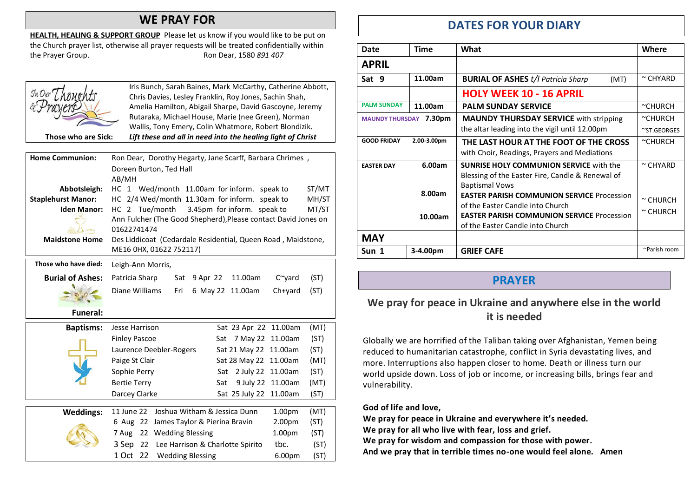## WE PRAY FOR

HEALTH, HEALING & SUPPORT GROUP Please let us know if you would like to be put on the Church prayer list, otherwise all prayer requests will be treated confidentially within the Prayer Group. The Prayer Group.

|                           | Iris Bunch, Sarah Baines, Mark McCarthy, Catherine Abbott,              |
|---------------------------|-------------------------------------------------------------------------|
|                           | Chris Davies, Lesley Franklin, Roy Jones, Sachin Shah,                  |
|                           | Amelia Hamilton, Abigail Sharpe, David Gascoyne, Jeremy                 |
|                           | Rutaraka, Michael House, Marie (nee Green), Norman                      |
|                           | Wallis, Tony Emery, Colin Whatmore, Robert Blondizik.                   |
| Those who are Sick:       | Lift these and all in need into the healing light of Christ             |
|                           |                                                                         |
| <b>Home Communion:</b>    | Ron Dear, Dorothy Hegarty, Jane Scarff, Barbara Chrimes,                |
|                           | Doreen Burton, Ted Hall                                                 |
|                           | AB/MH                                                                   |
| Abbotsleigh:              | HC 1 Wed/month 11.00am for inform. speak to<br>ST/MT                    |
| <b>Staplehurst Manor:</b> | HC 2/4 Wed/month 11.30am for inform. speak to<br>MH/ST                  |
| <b>Iden Manor:</b>        | MT/ST<br>HC 2 Tue/month<br>3.45pm for inform. speak to                  |
|                           | Ann Fulcher (The Good Shepherd), Please contact David Jones on          |
|                           | 01622741474                                                             |
| <b>Maidstone Home</b>     | Des Liddicoat (Cedardale Residential, Queen Road, Maidstone,            |
|                           | ME16 0HX, 01622 752117)                                                 |
|                           |                                                                         |
| Those who have died:      | Leigh-Ann Morris,                                                       |
| <b>Burial of Ashes:</b>   | Patricia Sharp<br>9 Apr 22<br>11.00am<br>(ST)<br>Sat<br>$C^{\sim}$ yard |
|                           | Diane Williams<br>(ST)<br>Fri<br>6 May 22 11.00am<br>$Ch+$ yard         |
| <b>Funeral:</b>           |                                                                         |
|                           |                                                                         |
| <b>Baptisms:</b>          | (MT)<br>Jesse Harrison<br>Sat 23 Apr 22 11.00am                         |
|                           | <b>Finley Pascoe</b><br>7 May 22 11.00am<br>(ST)<br>Sat                 |
|                           | (ST)<br>Laurence Deebler-Rogers<br>Sat 21 May 22<br>11.00am             |

Paige St Clair Sat 28 May 22 11.00am (MT) Sophie Perry Sat 2 July 22 11.00am (ST) Bertie Terry Sat 9 July 22 11.00am (MT) Darcey Clarke Sat 25 July 22 11.00am (ST)

7 Aug 22 Wedding Blessing 1.00pm (ST) 3 Sep 22 Lee Harrison & Charlotte Spirito tbc. (ST) 1 Oct 22 Wedding Blessing 6.00pm (ST)

Weddings: 11 June 22 Joshua Witham & Jessica Dunn 1.00pm (MT) 6 Aug 22 James Taylor & Pierina Bravin 2.00pm

# DATES FOR YOUR DIARY

| Date                             | Time        | What                                              | Where          |
|----------------------------------|-------------|---------------------------------------------------|----------------|
| <b>APRIL</b>                     |             |                                                   |                |
| Sat 9                            | 11.00am     | <b>BURIAL OF ASHES t/l Patricia Sharp</b><br>(MT) | $\sim$ CHYARD  |
|                                  |             | <b>HOLY WEEK 10 - 16 APRIL</b>                    |                |
| <b>PALM SUNDAY</b>               | 11.00am     | <b>PALM SUNDAY SERVICE</b>                        | $~\sim$ CHURCH |
| 7.30pm<br><b>MAUNDY THURSDAY</b> |             | <b>MAUNDY THURSDAY SERVICE</b> with stripping     | $c$ CHURCH     |
|                                  |             | the altar leading into the vigil until 12.00pm    | ~ST.GEORGES    |
| <b>GOOD FRIDAY</b>               | 2.00-3.00pm | THE LAST HOUR AT THE FOOT OF THE CROSS            | $c$ CHURCH     |
|                                  |             | with Choir, Readings, Prayers and Mediations      |                |
| <b>EASTER DAY</b>                | 6.00am      | <b>SUNRISE HOLY COMMUNION SERVICE with the</b>    | $\sim$ CHYARD  |
|                                  |             | Blessing of the Easter Fire, Candle & Renewal of  |                |
|                                  |             | <b>Baptismal Vows</b>                             |                |
|                                  | 8.00am      | <b>EASTER PARISH COMMUNION SERVICE Procession</b> | $\sim$ CHURCH  |
|                                  |             | of the Easter Candle into Church                  | $\sim$ CHURCH  |
|                                  | 10.00am     | <b>EASTER PARISH COMMUNION SERVICE Procession</b> |                |
|                                  |             | of the Easter Candle into Church                  |                |
| <b>MAY</b>                       |             |                                                   |                |
| Sun 1                            | 3-4.00pm    | <b>GRIEF CAFE</b>                                 | ~Parish room   |

#### PRAYER

#### We pray for peace in Ukraine and anywhere else in the world it is needed

Globally we are horrified of the Taliban taking over Afghanistan, Yemen being reduced to humanitarian catastrophe, conflict in Syria devastating lives, and more. Interruptions also happen closer to home. Death or illness turn our world upside down. Loss of job or income, or increasing bills, brings fear and vulnerability.

#### God of life and love,

We pray for peace in Ukraine and everywhere it's needed. We pray for all who live with fear, loss and grief. We pray for wisdom and compassion for those with power. And we pray that in terrible times no-one would feel alone. Amen